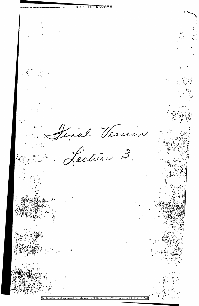REF ID: A62858 trial Version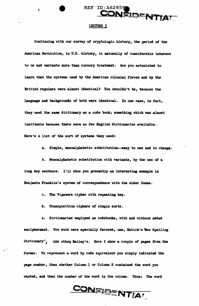

# LECTURE 3

Ĵ

Continuing with our survey of cryptologic history, the period of the American Revolution, in U.S. history, is naturally of considerable interest to us and warrants more than cursory treatment. Are you astonished to learn that the systems used by the American colonial forces and by the British regulars were almost identical? You shouldn't be, because the language and backgrounds of both were identical. In one case, in fact, they used the same dictionary as a code book; something which was almost inevitable because there were so few English dictionaries available. Here's a list of the sort of systems they used:

a. Simple, monoalphabetic substitution--easy to use and to change.

b. Monoalphabetic substitution with variants, by the use of a long key sentence. I'll show you presently an interesting example in Benjamin Franklin's system of correspondence with the elder Dumas.

c. The Vigenere cipher with repeating key.

d. Transposition ciphers of simple sorts.

e. Dictionaries employed as codebooks, with and without added encipherment. Two such were specially favored, one, Entick's 'New Spelling Dictionary", the other, Bailey's. Here I show a couple of pages from the former. To represent a word by code equivalent you simply indicated the page number, then whether Column 1 or Column 2 contained the word you wanted, and then the number of the word in the column. Thus: The word

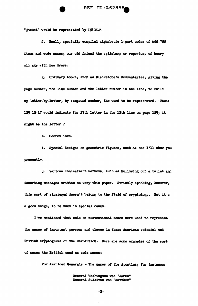"jacket" would be represented by  $178-2$ .

*t.* Small, specially compiled alphabetic 1-part codes of 698-789 items and code names; our old friend the syllabary or repertory of hoary old age with new dreaa.

g. Ordinary books, such as Blackstone's Commentaries, giving the page number, the line number and the letter number in the line, to build up letter-by-letter, by compound number, the word to be represented. Thus: 125-12-17 would indicate the 17th letter in the 12th line on page 125; it might be the letter  $T$ .

h. Secret inks.

i. Special designs or geometric figures, such as one I'll show you presently.

j. Various concealment methods, such as hollowing out a bullet and inserting messages written on very thin paper. Strictly speaking, however, this sort of strategem doesn't belong to the field of cryptology. But it's a good dodge, to be used in special cases.

I've mentioned that code or conventional names were used to represent the names of important persons and places in these American colonial and British cryptograms of the Revolution. Here are some examples of the sort *ot* names the British used as code zaames:

For American Generals - The names of the Apostles; for instance:

General Washington was "James" General Sullivan was "Matthew"

-2-

 $\mathbf{r}$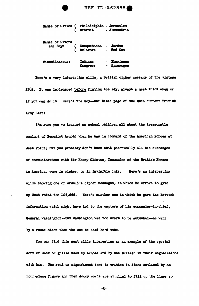| Names of Cities (Philadelphia – Jerusalem<br>(Detroit – Alexandria ) |                                                |                                                 |
|----------------------------------------------------------------------|------------------------------------------------|-------------------------------------------------|
| <b>Names of Rivers</b><br>and Bays                                   | ( Susquehanna - Jordan<br>( Delaware - Red Sea |                                                 |
| <b>Miscellaneous:</b>                                                | <b>Indians</b><br><b>Congress</b>              | <b>Pharisees</b><br>$\blacksquare$<br>Synagogue |

Here's a very interesting slide, a British cipher message of the vintage 1781. It was deciphered before finding the key, always a neat trick when or if you can do it. Here's the key--the title page of the then current British Army List!

REF ID: A62858

I'm sure you've learned as school children all about the treasonable conduct of Benedict Arnold when he was in command of the American Forces at West Point; but you probably don't know that practically all his exchanges of communications with Sir Henry Clinton, Commander of the British Forces in America, were in cipher, or in invisible inks. Here's an interesting slide showing one of Arnold's cipher messages, in which he offers to give up West Point for L20,000. Here's another one in which he gave the British information which might have led to the capture of his commander-in-chief, General Washington--but Washington was too smart to be ambushed--he went by a route other than the one he said he'd take.

You may find this next slide interesting as an example of the special sort of mask or grille used by Arnold and by the British in their negotiations with him. The real or significant text is written in lines outlined by an hour-glass figure and then dummy words are supplied to fill up the lines so

 $-3-$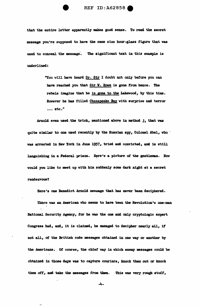

that the entire letter apparently makes good sense. To read the secret meesage you're supposed to have the same size hour-glass figure that was used to conceal the message. The significant text in this example is underlined:

> "You will have heard Dr. Sir I doubt not only before you can have reached you that Sir W. Bowe is gone from hence. The rebels imagine that he is gone to the Lakewood, by this time. However he has filled Chesapeake Bay with surprise and terror  $\cdots$  etc."

Arnold even used the trick, mentioned above in method j, that was quite similar to one used recently by the Russian apy, Colonel Abel, who  $\cdot$ was arrested in New York in June 1957, tried and convicted, and 1a still languishing in a Federal prison. Here's a picture of the gentleman. How would you like to meet up with him suddenly some dark night at a secret rendezvous?

Here's one Benedict Arnold message that has never been deciphered.

There was an American who seems to bave been the Revolution's one-man National Security Agency, for he was the one and only cryptologic expert Congress had, and, it is claimed, he managed to decipher nearly all, if not all, of the British code messages obtained in one way or another by the Americans. Of course, the chief way in which enemy messages could be obtained in those days was to capture couriers, knock them out or knock them off, and take the messages from them. This was very rough stuff,

-4-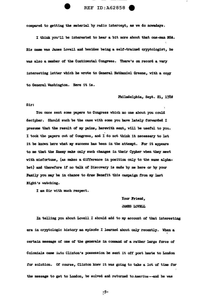

compared to getting the material by radio intercept, as we do nowadays.

I think you•ll be interested to hear a bit more about that one-man BSA. His name was James Lovell and besides being a self-trained cryptologist, he was also a member of the Continental Congress. There's on record a very interesting letter which he wrote to General Nathaniel Greene, with a copy to General Washington. Here it is.

## Philadelphia, Sept. 21, 1780

### Sir:

You once sent some papers to Congress which no one about you could decipher. Should such be the case with some you have lately forwarded I presume that the result of my pains, herewith sent, will be useful to you. I took the papers out of Congress, and I do not think it necessary to let it be known here what my success has been in the attempt. For it appears to me that the Enemy make only such changes in their Cypher when they meet with misfortune, (as makes a difference in position only to the same alphabet) and therefore if no talk of Discovery is made by me here or by your Family you may be in chance to draw Benefit this campaign from my last Night's watching.

I am Sir with much respect.

Your Friend, JAMES LOVELL

In telling you about Lovell I should add to my account of that interesting era in cryptologic history an episode I learned about only recently. When a certain message of one of the generals in command of a rather large force of Colonials came into Clinton's possession he sent it off post haste to London for solution. Of course, Clinton knew it was going to take a lot of time for the message to get to London, be solved and returned to America.--and he was

-5- c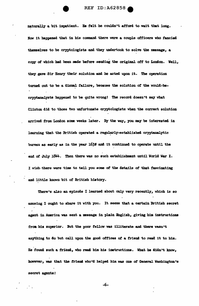naturally a bit impatient. He felt he couldn't afford to wait that long. Now it happened that in his command there were a couple officers who fancied themselves to be cryptologists and they undertook to solve the message, a copy of which had been made before sending the original off to London. Well, they gave Sir Henry their solution and he acted upon it. The operation turned out to be a dismal failure, because the solution of the would-becryptanalysts happened to be quite wrong! The record doesn't say what Clinton did to those two unfortunate cryptologists when the correct solution arrived from London some weeks later. By the way, you may be interested in learning that the British operated a regularly-established cryptanalytic bureau as early as in the year  $163$ f and it continued to operate until the end of July 1844. Then there was no such establishment until World War I. I wish-there were time to tell you some *ot* the details of that fascinating and little known bit of British history.

There's also an episode I learned about only very recently, which is so amusing I ought to share it with you. It seems that a certain British secret agent in America was sent a message in plain English, giving him instructions from his superior. But the poor fellow was illiterate and there wasn't anything to do but call upon the good offices of a friend to read it to him. He found such a friend, who read him his instructions. What he didn't know, however, was that the friend who'd helped him was one of General Washington's secret agents?

-6-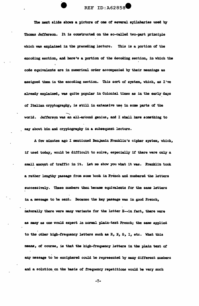The next slide shows a picture of one of several syllabaries used by Thomas Jefferson. It is constructed on the so-called two-part principle which was explained in the preceding lecture. This is a portion of the encoding section, and here's a portion of the decoding section, in which the code equivalents are in numerical order accompanied by their meanings as assigned them in the encoding section. This sort of system, which, as I've already explained, was quite popular in Colonial times as in the early days of Italian cryptography, is still in extensive use in some parts of the world. Jefferson was an all-around genius, and I shall have something to say about him and cryptography in a subsequent lecture.

A few minutes ago I mentioned Benjamin Franklin's cipher system, which, if used today, would be difficult to solve, especially if there were only a small amount of traffic in it. Let me show you what it was. Franklin took a rather lengthy passage from some book in French and numbered the letters successively. These numbers then became equivalents for the same letters in a message to be sent. Because the key passage was in good French, naturally there were many variants for the letter E--in fact, there were as many as one would expect in normal plain-text French; the same applied to the other high-frequency letters such as  $R$ ,  $N$ ,  $S$ ,  $I$ , etc. What this means, of course, is that the high-frequency letters in the plain text of any message to be enciphered could be represented by many different numbers and a solution on the basis of frequency repetitions would be very much

 $-7-$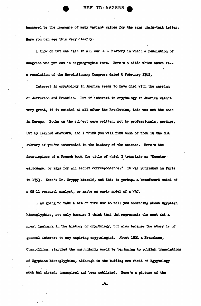**REF ID: A62858** 

hampered by the presence of many variant values for the same plain-text letter. Here you can see this very clearly.

I know of but one case in all our U.S. history in which a resolution of Congress was put out in cryptographic form. Here's a slide which shows it-a resolution of the Revolutionary Congress dated 8 February 1782.

Interest in cryptology in America seems to have died with the passing of Jefferson and Franklin. But if interest in cryptology in America wasn't very great, if it existed at all after the Revolution, this was not the case in Europe. Books on the subject were written, not by professionals, perhaps, but by learned amateurs, and I think you will find some of them in the NSA library if you're interested in the history of the science. Here's the frontispiece of a French book the title of which I translate as "Counterespionage, or keys for all secret correspondence." It was published in Paris in 1793. Here's Dr. Cryppy himself, and this is perhaps a breadboard model of a GS-11 research analyst, or maybe an early model of a WAC.

I am going to take a bit of time now to tell you something about Egyptian hieroglyphics, not only because I think that that represents the next and a great landmark in the history of cryptology, but also because the story is of general interest to any aspiring cryptologist. About 1821 a Frenchman, Champollion, startled the unscholarly world by beginning to publish translations of Egyptian hieroglyphics, although in the budding new field of Egyptology much had already transpired and been published. Here's a picture of the

 $-8-$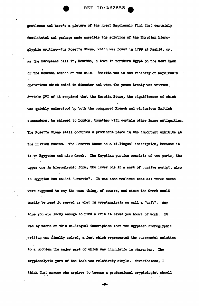

REF ID:A62858

gentleman and here's a picture of the great Napoleonic find that certainly facilitated and perhaps made possible the solution of the Egyptian hieroglyphic writing--the Rosetta Stone, which was found in 1799 at Rashid, or, as the Europeans call it, Rosetta, a town in northern Egypt on the west bank of the Rosetta branch of the Nile. Rosetta was in the vicinity of Napoleon's operations which ended in disaster and when the peace treaty was written, Article XVI of it required that the Rosetta Stone, the significance of which was quickly understood by both the conquered French and victorious British comanders, be shipped to London, together with certain other large antiquities. The Rosetta Stone still occupies a prominent place in the important exhibits at the British Museum. The Rosetta Stone is a bi-lingual inscription, because it is in Egyptian and also Greek. The Egyptian portion consists of two parts, the upper one in hieroglyphic form, the lower one in a sort of cursive script, also in Egyptian but called "Demotic". It was soon realized that all three texts were supposed to say the same thing, of course, and since the Greek could easily be read it served as what in cryptanalysis we call a "crib". Any time you are lucky enough to find a crib it saves you hours of work. It was by means of this bi-lingual inscription that the Egyptian hieroglyphic writing was finally solved, a feat which represented the successful solution to a problem the major part of which was linguistic in character. The cryptanalytic part of the task was relatively simple. Nevertheless, I think that anyone who aspires to become a professional cryptologist should

-9-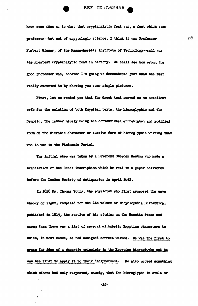

have some idea as to what that cryptanalytic feat was, a feat which some mofessor--but not of cryptologic science, I think it was Professor Norbert Wiener, of the Massachusetts Institute of Technology--said was the greatest cryptanalytic feat in history. We shall see how wrong the good professor was, because I'm going to demonstrate just what the feat really amounted to by showing you some simple pictures.

First, let me remind you that the Greek text served as an excellent crib for the solution of both Egyptian texts, the hieroglyphic and the Demotic, the latter merely being the conventional abbreviated and modified form of the Hieratic character or cursive form of hieroglyphic writing that was in use in the Ptolemaic Period.

The initial step was taken by a Reverend Stephen Weston who made a translation of the Greek inscription which he read in a paper delivered before the London Society of Antiquaries in April 1862.

In 1818 Dr. Thomas Young, the physicist who first proposed the wave theory of light, compiled for the 4th volume of Encyclopedia Britannica, published in 1819, the results of his studies on the Rosetta Stone and among them there was a list of several alphabetic Egyptian characters to which, in most cases, he had assigned correct values. He was the first to grasp the idea of a phonetic principle in the Egyptian hieroglyphs and he was the first to apply it to their decipherment. He also proved something which others had only suspected, namely, that the hieroglyphs in ovals or

 $-10-$ 

 $\lambda$ 

الا تن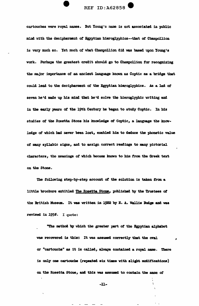

cartouches were royal names. But Young's name is not associated in public mind with the decipherment of Egyptian hieroglyphics--that of Champollion is very much so. Yet much of what Champollion did was based upon Young's work. Perhaps the greatest credit should go to Champollion for recognizing the major importance of an ancient language known as Coptic as a bridge that could lead to the decipherment of the Egyptian hieroglyphics. As a lad of seven he'd made up his mind that he'd solve the hieroglyphic writing and in the early years of the 19th Century he began to study Coptic. In his studies of the Rosetta Stone his knowledge of Coptic, a language the knowledge of which had never been lost, enabled him to deduce the phonetic value of many syllabic signs, and to assign correct readings to many pictorial characters, the meanings of which became known to him from the Greek text on the Stone.

The following step-by-step account of the solution is taken from a little brochure entitled The Rosetta Stone, published by the Trustees of the British Museum. It was written in 1922 by E. A. Wallis Budge and was revised in 1950. I quote:

"The method by which the greater part of the Egyptian alphabet was recovered is this: It was assumed correctly that the oval or "cartouche" as it is called, always contained a royal name. There is only one cartouche (repeated six times with slight modifications) on the Rosetta Stone, and this was assumed to contain the name of

 $-11-$ 

 $\overline{\phantom{0}}$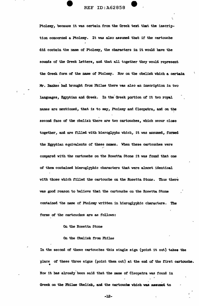Ptolemy, 'because it was certain from the Greek text that the inacription concerned a Ptolemy. It was also assumed that if the cartouche did contain the name of Ptolemy, the characters in it would have the sounds of the Greek letters, and that all together they would represent the Greek form of the name of Ptolemy. Now on the obelisk which a certain Mr. Bankes had brought from Philae there was also an inscription in two languages, Egyptian and Greek. In the Greek portion of it two royal names are mentioned, that is to say, Ptolemy and Cleopatra, and on the second face of the obelisk there are two cartouches, which occur close together, and are filled with hieroglyphs which, it was assumed, formed the Egyptian equivalents of these names. When these cartouches were " compared with the cartouche on the Rosetta Stone it was found that one of them contained hieroglyphic characters that were almost identical with those which filled the cartouche on the Rosetta Stone. Thus there was good reason to believe that the cartouche on the Rosetta Stone contained the name of Ptolemy written in hieroglyphic characters. The forms of the cartouches are as follows:

On the Rosetta Stone

On the Obelisk from Philae

In the second of these cartouches this single sign (point it out) takes the place of these three signs (point them out) at the end of the first cartouche. • How it bas already been said that the name of Cleopatra was found in Greek on the Philae Obelisk, and the cartouche which was assumed to

... 12-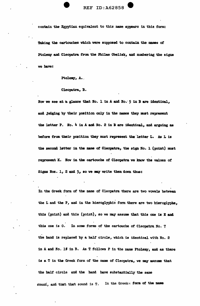contain the Egyptian equivalent to this name appears in this form;

Taking the cartouches which were supposed to contain the names of Ptolemy and Cleopatra from the Fhilae Obelisk, and numbering the signs we have:

Ptolemy, A.

## Cleopatra, B.

Now we see at a glance that No. 1 in A and No. 5 in B are identical, and judging by their position only in the names they must represent the letter P. No. 4 in A and No. 2 in B are identical, and arguing as before from their position they must represent the letter L. As L is the second letter in the name of Cleopatra, the sign No. 1 (point) must represent K. Now in the cartouche of Cleopatra we know the values of Signs Nos. 1, 2 and 5, so we may write them down thus:

In the Greek form of the name of Cleopatra there are two vowels between the L and the P, and in the hieroglyphic form there are two hieroglyphs, this (point) and this (point), so we may assume that this one is E and this one is 0. In some forms of the cartouche of Cleopatra No. 7 the hand is replaced by a half circle, which is identical with No. 2 in A and No. 19 in B. As T follows P in the name Ptolemy, and as there is a T in the Greek form of the name of Cleopatra, we may assume that the half circle and the hand have substantially the same sound, and that that sound is T. In the Greek - form of the name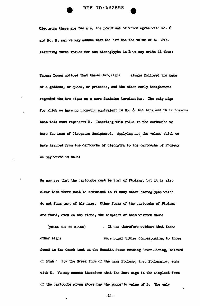



Thomas Young noticed that the settwo signs always followed the name of a goddess, or queen, or princess, and the other early decipherers regarded the two signs as a mere feminine termination. The only sign for which we have no phonetic equivalent is No.  $\delta$ , the lens, and it is obvious that this must represent R. Inserting this value in the cartouche we have the name of Cleopatra deciphered. Applying now the values which we have learned from the cartouche of Cleopatra to the cartouche of Ptolemy we may write it thus:

We now see that the cartouche must be that of Ptolemy, but it is also clear that there must be contained in it many other hieroglyphs which do not form part of his name. Other forms of the cartouche of Ptolemy are found, even on the stone, the simplest of them written thus:

(point out on slide) . It was therefore evident that these other signs were royal titles corresponding to those found in the Greek text on the Rosetta Stone meaning "ever-living, beloved of Ptah." Now the Greek form of the name Ptolemy, i.e. Ptolemaios, ends with S. We may assume therefore that the last sign in the simplest form of the cartouche given above has the phonetic value of S. The only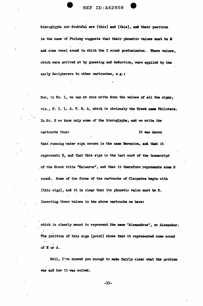hieroglyphs now doubtful are (this) and (this), and their position in the name of Ptolemy suggests that their phonetic values must be M and some vowel sound in which the I sound predominates. These values. which were arrived at by guessing and deduction, were applied by the early decipherers to other cartouches, e.g.:

ż

Now, in No. 1, we can at once write down the values of all the signs, viz., P. I. L. A. T. R. A, which is obviously the Greek name Philotera. In No. 2 we know only some of the hieroglyphs, and we write the cartouche thus: It was known

that running water sign occurs in the name Berenice, and that it represents N, and that this sign is the last word of the transcript of the Greek title "Kaisaros", and that it therefore represents some S sound. Some of the forms of the cartouche of Cleopatra begin with (this sign), and it is clear that its phonetic value must be K. Inserting these values in the above cartouche we have:

which is clearly meant to represent the name "Alexandros", or Alexander. The position of this sign (point) shows that it represented some sound of E or A.

Well, I've showed you enough to make fairly clear what the problem was and how it was solved.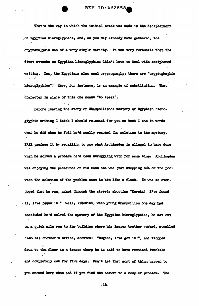**REF ID: A62858** 

That's the way in which the initial break was made in the decipherment of Egyptian hieroglyphics, and, as you may already have gathered, the cryptanalysis was of a very simple variety. It was very fortunate that the first attacks on Egyptian hieroglyphics didn't have to deal with enciphered writing. Yes, the Egyptians also used cryptography; there are "cryptographic hieroglyphics"! Here, for instance, is an example of substitution. That character in place of this one means "to speak".

Before leaving the story of Champollion's mastery of Egyptian hieroglyphic writing I think I should re-enact for you as best I can in words what he did when he felt he'd really reached the solution to the mystery. I'll preface it by recalling to you what Archimedes is alleged to have done when he solved a problem he'd been struggling with for some time. Archimedes was enjoying the pleasures of his bath and was just stepping out of the pool when the solution of the problem came to him like a flash. He was so overjoyed that he ran, naked through the streets shouting "Eureka! I've found - it, I've feund it." Well, likewise, when young Champollion one day had concluded he'd solved the mystery of the Egyptian hieroglyphics, he set out on a quick mile run to the building where his lawyer brother worked, stumbled into his brother's office, shouted: "Eugene, I've got it!", and flopped down to the floor in a trance where he is said to have remained immobile and completely out for five days. Don't let that sort of thing happen to you around here when and if you find the answer to a complex problem. The

 $-16-$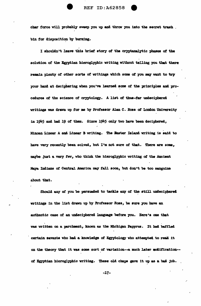char force will probably sweep you up and throw you into the secret trash. bin for disposition by burning.

I shouldn't leave this brief story of the cryptanalytic phases of the solution of the Egyptian hieroglyphic writing without telling you that there remain plenty of other sorts of writings which some of you may want to try your hand at deciphering when you've learned some of the principles and procedures of the science of cryptology. A list of thus-far undeciphered writings was drawn up for me by Professor Alan C. Ross of London University in 1945 and had 19 of them. Since 1945 only two have been deciphered, Minoan Linear A and Linear B writing. The Easter Island writing is said to have very recently been solved, but I'm not sure of that. There are some, maybe just a very few, who think the hieroglyphic writing of the Ancient Maya Indians of Central America may fall soon, but don't be too sanguine about that.

Should any of you be persuaded to tackle any of the still undeciphered writings in the list drawn up by Professor Ross, be sure you have an authentic case of an undeciphered language before you. Here's one that was written on a parchment, known as the Michigan Papyrus. It had baffled certain savants who had a knowledge of Egyptology who attempted to read it on the theory that it was some sort of variation--a much later modification-of Egyptian hieroglyphic writing. These old chaps gave it up as a bad job.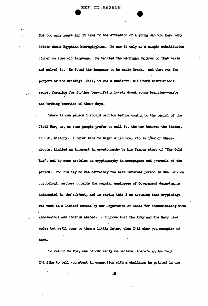Not too many years ago it came to the attention of a young man who knew very little about Egyptian hieroglyphics. He saw it only as a simple substitution cipher on some old language. He tackled the Michigan Papyrus on that basis and solved it. He found the language to be early Greek. And what was the purport of the writing? Well, it was a wonderful old Greek beautician's secret formulae for further beautifying lovely Greek young beauties--maybe the bathing beauties of those days.

There is one person I should mention before coming to the period of the Civil War, or, as some people prefer to call it, the war between the States, in U.S. history. I refer here to Edgar Allan Poe, who in 1842 or thereabouts, kindled an interest in cryptography by his famous story of "The Gold Bug", and by some articles on cryptography in newspapers and journals of the period. For his day he was certainly the best informed person in the U.S. on cryptologic matters outside the regular employees of Government departments interested in the subject, and in saying this I am assuming that cryptology was used to a limited extent by our Department of State for communicating with ambassadors and consuls abroad. I suppose that the Army and the Navy used codes but we'll come to them a little later, when I'll show you examples of them.

To return to Poe, one of our early columnists, there's an incident I'd like to tell you about in connection with a challenge he printed in one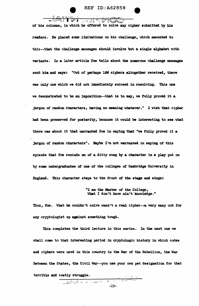**REF ID: A62858** 



AAASSI PULLER AND FINANCIAL of his columns, in which he offered to solve any cipher submitted by his readers. He placed some limitations on his challenge, which amounted to this--that the challenge messages should involve but a single alphabet with variants. In a later article Poe tells about the numerous challenge messages sent him and says: "Out of perhaps 199 ciphers altogether received, there was only one which we did not immediately succeed in resolving. This one we demonstrated to be an imposition--that is to say, we fully proved it a jargon of random characters, having no meaning whatever." I wish that cipher had been preserved for posterity, because it would be interesting to see what there was about it that warranted Poe in saying that "we fully proved it a jargon of random characters". Maybe I'm not warranted in saying of this episode that Poe reminds me of a ditty sung by a character in a play put on by some undergraduates of one of the colleges of Cambridge University in England. This character steps to the front of the stage and sings:

> "I am the Master of the College, What I don't know ain't knowledge."

Thus, Poe. What he couldn't solve wasn't a real cipher--a very easy out for any cryptologist up against something tough.

This completes the third lecture in this series. In the next one we shall come to that interesting period in cryptologic history in which codes and ciphers were used in this country in the War of the Rebellion, the War Between the States, the Civil War--you use your own pet designation for that terrible and costly struggle.

> $\frac{1}{\sqrt{2}}$  $-19-$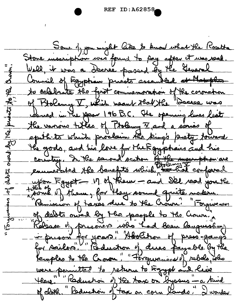REF ID: A62 858-

Some of you might like to know what the Rosetta Stone mossiphon was found to pay after it was read Well, it was a Decree passed by the General Council of Egyptian presto assambled of Hatophos ₽ to calcbrate the first commemoration of the coronation  $\maltese$ of Bloleny I, which weaut that the "Docese was  $\bar{\mathcal{R}}$ could in the span 196 B.C. The opening lines list the various titles of Ptolemy V and a series of epithts which proclaim the king's pretty fourard He gods, and his love for the Egyptais and his<br>country. In the second section of the meanphon are enumerated the benefits which the hot conformed upon Faypt -- 17 of Rew - and Sel read you the  $\mathcal{L}_{\mathcal{L}}$ some of them, for they sound quite makerne Remission of taxes due to the Crown. "Forgiveness 3 of debts our ly the people to the Crown, Rélease de proconcre who had been languishing in prison for years," "Abolition of press-gangs were permitted to return to Egypt and live Here. Reduction of the town on byosus - a kind of cloth. Reduction of tax on corn lands. I wonder